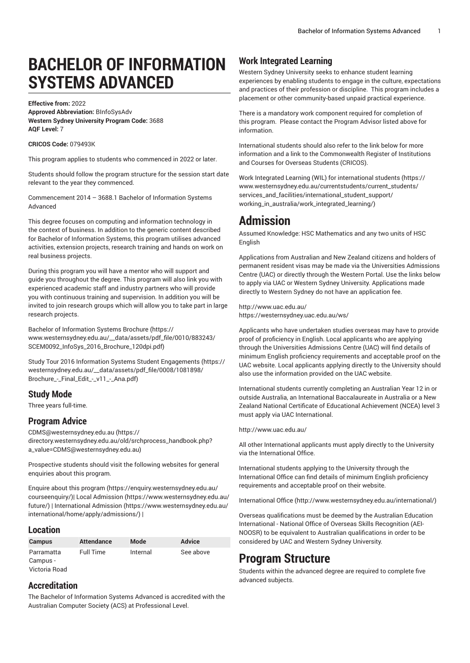# **BACHELOR OF INFORMATION SYSTEMS ADVANCED**

**Effective from:** 2022 **Approved Abbreviation:** BInfoSysAdv **Western Sydney University Program Code:** 3688 **AQF Level:** 7

**CRICOS Code:** 079493K

This program applies to students who commenced in 2022 or later.

Students should follow the program structure for the session start date relevant to the year they commenced.

Commencement 2014 – 3688.1 Bachelor of Information Systems Advanced

This degree focuses on computing and information technology in the context of business. In addition to the generic content described for Bachelor of Information Systems, this program utilises advanced activities, extension projects, research training and hands on work on real business projects.

During this program you will have a mentor who will support and guide you throughout the degree. This program will also link you with experienced academic staff and industry partners who will provide you with continuous training and supervision. In addition you will be invited to join research groups which will allow you to take part in large research projects.

Bachelor of [Information](https://www.westernsydney.edu.au/__data/assets/pdf_file/0010/883243/SCEM0092_InfoSys_2016_Brochure_120dpi.pdf) Systems Brochure ([https://](https://www.westernsydney.edu.au/__data/assets/pdf_file/0010/883243/SCEM0092_InfoSys_2016_Brochure_120dpi.pdf) [www.westernsydney.edu.au/\\_\\_data/assets/pdf\\_file/0010/883243/](https://www.westernsydney.edu.au/__data/assets/pdf_file/0010/883243/SCEM0092_InfoSys_2016_Brochure_120dpi.pdf) [SCEM0092\\_InfoSys\\_2016\\_Brochure\\_120dpi.pdf\)](https://www.westernsydney.edu.au/__data/assets/pdf_file/0010/883243/SCEM0092_InfoSys_2016_Brochure_120dpi.pdf)

Study Tour 2016 Information Systems Student [Engagements](https://westernsydney.edu.au/__data/assets/pdf_file/0008/1081898/Brochure_-_Final_Edit_-_v11_-_Ana.pdf) ([https://](https://westernsydney.edu.au/__data/assets/pdf_file/0008/1081898/Brochure_-_Final_Edit_-_v11_-_Ana.pdf) [westernsydney.edu.au/\\_\\_data/assets/pdf\\_file/0008/1081898/](https://westernsydney.edu.au/__data/assets/pdf_file/0008/1081898/Brochure_-_Final_Edit_-_v11_-_Ana.pdf) [Brochure\\_-\\_Final\\_Edit\\_-\\_v11\\_-\\_Ana.pdf](https://westernsydney.edu.au/__data/assets/pdf_file/0008/1081898/Brochure_-_Final_Edit_-_v11_-_Ana.pdf))

## **Study Mode**

Three years full-time.

## **Program Advice**

[CDMS@westernsydney.edu.au \(https://](https://directory.westernsydney.edu.au/old/srchprocess_handbook.php?a_value=CDMS@westernsydney.edu.au) [directory.westernsydney.edu.au/old/srchprocess\\_handbook.php?](https://directory.westernsydney.edu.au/old/srchprocess_handbook.php?a_value=CDMS@westernsydney.edu.au) [a\\_value=CDMS@westernsydney.edu.au](https://directory.westernsydney.edu.au/old/srchprocess_handbook.php?a_value=CDMS@westernsydney.edu.au))

Prospective students should visit the following websites for general enquiries about this program.

Enquire about this [program \(https://enquiry.westernsydney.edu.au/](https://enquiry.westernsydney.edu.au/courseenquiry/) [courseenquiry/](https://enquiry.westernsydney.edu.au/courseenquiry/))| [Local Admission \(https://www.westernsydney.edu.au/](https://www.westernsydney.edu.au/future/) [future/\)](https://www.westernsydney.edu.au/future/) | [International Admission](https://www.westernsydney.edu.au/international/home/apply/admissions/) ([https://www.westernsydney.edu.au/](https://www.westernsydney.edu.au/international/home/apply/admissions/) [international/home/apply/admissions/](https://www.westernsydney.edu.au/international/home/apply/admissions/)) |

### **Location**

| <b>Campus</b>          | <b>Attendance</b> | Mode     | <b>Advice</b> |
|------------------------|-------------------|----------|---------------|
| Parramatta<br>Campus - | Full Time         | Internal | See above     |
| Victoria Road          |                   |          |               |

## **Accreditation**

The Bachelor of Information Systems Advanced is accredited with the Australian Computer Society (ACS) at Professional Level.

## **Work Integrated Learning**

Western Sydney University seeks to enhance student learning experiences by enabling students to engage in the culture, expectations and practices of their profession or discipline. This program includes a placement or other community-based unpaid practical experience.

There is a mandatory work component required for completion of this program. Please contact the Program Advisor listed above for information.

International students should also refer to the link below for more information and a link to the Commonwealth Register of Institutions and Courses for Overseas Students (CRICOS).

Work Integrated Learning (WIL) for [international](https://www.westernsydney.edu.au/currentstudents/current_students/services_and_facilities/international_student_support/working_in_australia/work_integrated_learning/) students ([https://](https://www.westernsydney.edu.au/currentstudents/current_students/services_and_facilities/international_student_support/working_in_australia/work_integrated_learning/) [www.westernsydney.edu.au/currentstudents/current\\_students/](https://www.westernsydney.edu.au/currentstudents/current_students/services_and_facilities/international_student_support/working_in_australia/work_integrated_learning/) [services\\_and\\_facilities/international\\_student\\_support/](https://www.westernsydney.edu.au/currentstudents/current_students/services_and_facilities/international_student_support/working_in_australia/work_integrated_learning/) [working\\_in\\_australia/work\\_integrated\\_learning/](https://www.westernsydney.edu.au/currentstudents/current_students/services_and_facilities/international_student_support/working_in_australia/work_integrated_learning/))

## **Admission**

Assumed Knowledge: HSC Mathematics and any two units of HSC English

Applications from Australian and New Zealand citizens and holders of permanent resident visas may be made via the Universities Admissions Centre (UAC) or directly through the Western Portal. Use the links below to apply via UAC or Western Sydney University. Applications made directly to Western Sydney do not have an application fee.

<http://www.uac.edu.au/> <https://westernsydney.uac.edu.au/ws/>

Applicants who have undertaken studies overseas may have to provide proof of proficiency in English. Local applicants who are applying through the Universities Admissions Centre (UAC) will find details of minimum English proficiency requirements and acceptable proof on the UAC website. Local applicants applying directly to the University should also use the information provided on the UAC website.

International students currently completing an Australian Year 12 in or outside Australia, an International Baccalaureate in Australia or a New Zealand National Certificate of Educational Achievement (NCEA) level 3 must apply via UAC International.

#### <http://www.uac.edu.au/>

All other International applicants must apply directly to the University via the International Office.

International students applying to the University through the International Office can find details of minimum English proficiency requirements and acceptable proof on their website.

[International Office](http://www.westernsydney.edu.au/international/) ([http://www.westernsydney.edu.au/international/\)](http://www.westernsydney.edu.au/international/)

Overseas qualifications must be deemed by the Australian Education International - National Office of Overseas Skills Recognition (AEI-NOOSR) to be equivalent to Australian qualifications in order to be considered by UAC and Western Sydney University.

## **Program Structure**

Students within the advanced degree are required to complete five advanced subjects.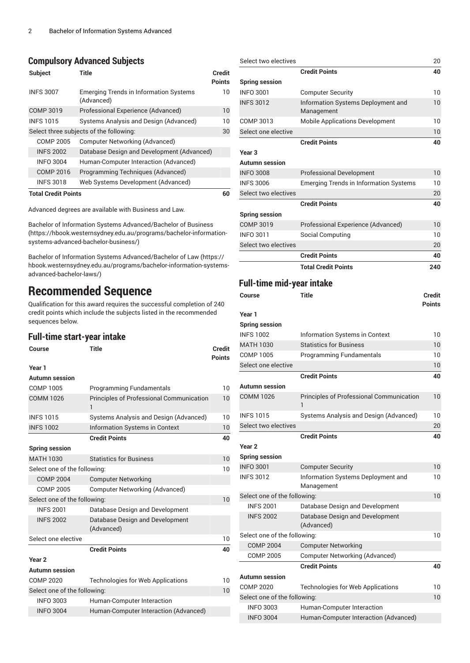## **Compulsory Advanced Subjects**

| <b>Subject</b>             | Title                                                       | Credit<br><b>Points</b> |
|----------------------------|-------------------------------------------------------------|-------------------------|
| <b>INFS 3007</b>           | <b>Emerging Trends in Information Systems</b><br>(Advanced) | 10                      |
| COMP 3019                  | Professional Experience (Advanced)                          | 10                      |
| <b>INFS1015</b>            | Systems Analysis and Design (Advanced)                      | 10                      |
|                            | Select three subjects of the following:                     | 30                      |
| <b>COMP 2005</b>           | <b>Computer Networking (Advanced)</b>                       |                         |
| <b>INFS 2002</b>           | Database Design and Development (Advanced)                  |                         |
| <b>INFO 3004</b>           | Human-Computer Interaction (Advanced)                       |                         |
| COMP 2016                  | Programming Techniques (Advanced)                           |                         |
| <b>INFS 3018</b>           | Web Systems Development (Advanced)                          |                         |
| <b>Total Credit Points</b> |                                                             | 60                      |

Advanced degrees are available with Business and Law.

Bachelor of Information Systems [Advanced/Bachelor](https://hbook.westernsydney.edu.au/programs/bachelor-information-systems-advanced-bachelor-business/) of Business ([https://hbook.westernsydney.edu.au/programs/bachelor-information](https://hbook.westernsydney.edu.au/programs/bachelor-information-systems-advanced-bachelor-business/)[systems-advanced-bachelor-business/\)](https://hbook.westernsydney.edu.au/programs/bachelor-information-systems-advanced-bachelor-business/)

Bachelor of Information Systems [Advanced/Bachelor](https://hbook.westernsydney.edu.au/programs/bachelor-information-systems-advanced-bachelor-laws/) of Law ([https://](https://hbook.westernsydney.edu.au/programs/bachelor-information-systems-advanced-bachelor-laws/) [hbook.westernsydney.edu.au/programs/bachelor-information-systems](https://hbook.westernsydney.edu.au/programs/bachelor-information-systems-advanced-bachelor-laws/)[advanced-bachelor-laws/](https://hbook.westernsydney.edu.au/programs/bachelor-information-systems-advanced-bachelor-laws/))

## **Recommended Sequence**

Qualification for this award requires the successful completion of 240 credit points which include the subjects listed in the recommended sequences below.

## **Full-time start-year intake**

| Course                       | <b>Title</b>                                                    | <b>Credit</b><br><b>Points</b> |
|------------------------------|-----------------------------------------------------------------|--------------------------------|
| Year 1                       |                                                                 |                                |
| <b>Autumn</b> session        |                                                                 |                                |
| COMP 1005                    | Programming Fundamentals                                        | 10                             |
| <b>COMM 1026</b>             | <b>Principles of Professional Communication</b><br>$\mathbf{1}$ | 10                             |
| <b>INFS1015</b>              | Systems Analysis and Design (Advanced)                          | 10                             |
| <b>INFS 1002</b>             | <b>Information Systems in Context</b>                           | 10                             |
|                              | <b>Credit Points</b>                                            | 40                             |
| <b>Spring session</b>        |                                                                 |                                |
| <b>MATH 1030</b>             | <b>Statistics for Business</b>                                  | 10                             |
| Select one of the following: |                                                                 | 10                             |
| <b>COMP 2004</b>             | <b>Computer Networking</b>                                      |                                |
| <b>COMP 2005</b>             | <b>Computer Networking (Advanced)</b>                           |                                |
| Select one of the following: |                                                                 | 10                             |
| <b>INFS 2001</b>             | Database Design and Development                                 |                                |
| <b>INFS 2002</b>             | Database Design and Development<br>(Advanced)                   |                                |
| Select one elective          |                                                                 | 10                             |
|                              | <b>Credit Points</b>                                            | 40                             |
| Year <sub>2</sub>            |                                                                 |                                |
| Autumn session               |                                                                 |                                |
| <b>COMP 2020</b>             | Technologies for Web Applications                               | 10                             |
| Select one of the following: |                                                                 | 10                             |
| <b>INFO 3003</b>             | Human-Computer Interaction                                      |                                |
| <b>INFO 3004</b>             | Human-Computer Interaction (Advanced)                           |                                |
|                              |                                                                 |                                |

| Select two electives             |                                                  | 20            |
|----------------------------------|--------------------------------------------------|---------------|
|                                  | <b>Credit Points</b>                             | 40            |
| <b>Spring session</b>            |                                                  |               |
| <b>INFO 3001</b>                 | <b>Computer Security</b>                         | 10            |
| <b>INFS 3012</b>                 | Information Systems Deployment and<br>Management | 10            |
| COMP 3013                        | <b>Mobile Applications Development</b>           | 10            |
| Select one elective              |                                                  | 10            |
|                                  | <b>Credit Points</b>                             | 40            |
| Year <sub>3</sub>                |                                                  |               |
| <b>Autumn session</b>            |                                                  |               |
| <b>INFO 3008</b>                 | <b>Professional Development</b>                  | 10            |
| <b>INFS 3006</b>                 | <b>Emerging Trends in Information Systems</b>    | 10            |
| Select two electives             |                                                  | 20            |
|                                  | <b>Credit Points</b>                             | 40            |
| <b>Spring session</b>            |                                                  |               |
| <b>COMP 3019</b>                 | Professional Experience (Advanced)               | 10            |
| <b>INFO 3011</b>                 | Social Computing                                 | 10            |
| Select two electives             |                                                  | 20            |
|                                  | <b>Credit Points</b>                             | 40            |
|                                  | <b>Total Credit Points</b>                       | 240           |
| <b>Full-time mid-year intake</b> |                                                  |               |
| Course                           | Title                                            | <b>Credit</b> |
|                                  |                                                  | <b>Points</b> |
| Year 1                           |                                                  |               |
| <b>Spring session</b>            |                                                  |               |

| <b>Spring session</b>        |                                                      |    |
|------------------------------|------------------------------------------------------|----|
| <b>INFS 1002</b>             | Information Systems in Context                       | 10 |
| <b>MATH 1030</b>             | <b>Statistics for Business</b>                       | 10 |
| COMP 1005                    | <b>Programming Fundamentals</b>                      | 10 |
| Select one elective          |                                                      | 10 |
|                              | <b>Credit Points</b>                                 | 40 |
| Autumn session               |                                                      |    |
| <b>COMM 1026</b>             | <b>Principles of Professional Communication</b><br>1 | 10 |
| <b>INFS 1015</b>             | Systems Analysis and Design (Advanced)               | 10 |
| Select two electives         |                                                      | 20 |
|                              | <b>Credit Points</b>                                 | 40 |
| Year <sub>2</sub>            |                                                      |    |
| <b>Spring session</b>        |                                                      |    |
| <b>INFO 3001</b>             | <b>Computer Security</b>                             | 10 |
| <b>INFS 3012</b>             | Information Systems Deployment and<br>Management     | 10 |
| Select one of the following: |                                                      | 10 |
| <b>INFS 2001</b>             | Database Design and Development                      |    |
| <b>INFS 2002</b>             | Database Design and Development<br>(Advanced)        |    |
| Select one of the following: |                                                      | 10 |
| <b>COMP 2004</b>             | <b>Computer Networking</b>                           |    |
| <b>COMP 2005</b>             | <b>Computer Networking (Advanced)</b>                |    |
|                              | <b>Credit Points</b>                                 | 40 |
| Autumn session               |                                                      |    |
| <b>COMP 2020</b>             | <b>Technologies for Web Applications</b>             | 10 |
| Select one of the following: |                                                      | 10 |
| <b>INFO 3003</b>             | Human-Computer Interaction                           |    |
| <b>INFO 3004</b>             | Human-Computer Interaction (Advanced)                |    |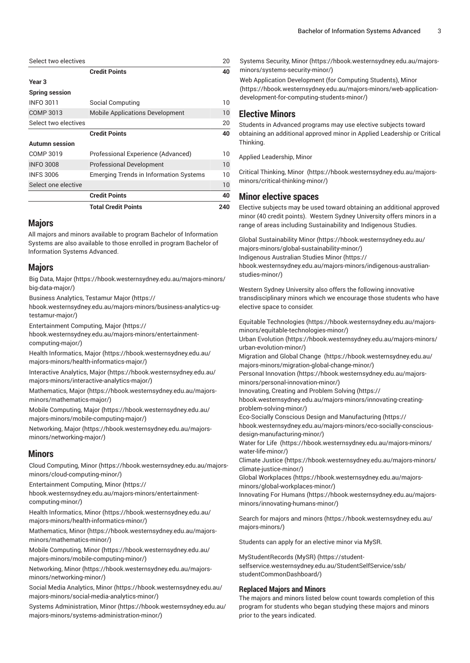| Select two electives  |                                               | 20  |
|-----------------------|-----------------------------------------------|-----|
|                       | <b>Credit Points</b>                          | 40  |
| Year <sub>3</sub>     |                                               |     |
| <b>Spring session</b> |                                               |     |
| <b>INFO 3011</b>      | Social Computing                              | 10  |
| COMP 3013             | <b>Mobile Applications Development</b>        | 10  |
| Select two electives  |                                               | 20  |
|                       | <b>Credit Points</b>                          | 40  |
| <b>Autumn session</b> |                                               |     |
| COMP 3019             | Professional Experience (Advanced)            | 10  |
| <b>INFO 3008</b>      | <b>Professional Development</b>               | 10  |
| <b>INFS 3006</b>      | <b>Emerging Trends in Information Systems</b> | 10  |
| Select one elective   |                                               | 10  |
|                       | <b>Credit Points</b>                          | 40  |
|                       | <b>Total Credit Points</b>                    | 240 |

### **Majors**

All majors and minors available to program Bachelor of Information Systems are also available to those enrolled in program Bachelor of Information Systems Advanced.

#### **Majors**

[Big Data, Major \(https://hbook.westernsydney.edu.au/majors-minors/](https://hbook.westernsydney.edu.au/majors-minors/big-data-major/) [big-data-major/\)](https://hbook.westernsydney.edu.au/majors-minors/big-data-major/)

Business [Analytics,](https://hbook.westernsydney.edu.au/majors-minors/business-analytics-ug-testamur-major/) Testamur Major [\(https://](https://hbook.westernsydney.edu.au/majors-minors/business-analytics-ug-testamur-major/)

[hbook.westernsydney.edu.au/majors-minors/business-analytics-ug](https://hbook.westernsydney.edu.au/majors-minors/business-analytics-ug-testamur-major/)[testamur-major/\)](https://hbook.westernsydney.edu.au/majors-minors/business-analytics-ug-testamur-major/)

[Entertainment](https://hbook.westernsydney.edu.au/majors-minors/entertainment-computing-major/) Computing, Major ([https://](https://hbook.westernsydney.edu.au/majors-minors/entertainment-computing-major/)

[hbook.westernsydney.edu.au/majors-minors/entertainment](https://hbook.westernsydney.edu.au/majors-minors/entertainment-computing-major/)[computing-major/\)](https://hbook.westernsydney.edu.au/majors-minors/entertainment-computing-major/)

[Health Informatics, Major](https://hbook.westernsydney.edu.au/majors-minors/health-informatics-major/) ([https://hbook.westernsydney.edu.au/](https://hbook.westernsydney.edu.au/majors-minors/health-informatics-major/) [majors-minors/health-informatics-major/](https://hbook.westernsydney.edu.au/majors-minors/health-informatics-major/))

[Interactive](https://hbook.westernsydney.edu.au/majors-minors/interactive-analytics-major/) Analytics, Major [\(https://hbook.westernsydney.edu.au/](https://hbook.westernsydney.edu.au/majors-minors/interactive-analytics-major/) [majors-minors/interactive-analytics-major/](https://hbook.westernsydney.edu.au/majors-minors/interactive-analytics-major/))

[Mathematics, Major \(https://hbook.westernsydney.edu.au/majors](https://hbook.westernsydney.edu.au/majors-minors/mathematics-major/)[minors/mathematics-major/](https://hbook.westernsydney.edu.au/majors-minors/mathematics-major/))

[Mobile Computing, Major](https://hbook.westernsydney.edu.au/majors-minors/mobile-computing-major/) ([https://hbook.westernsydney.edu.au/](https://hbook.westernsydney.edu.au/majors-minors/mobile-computing-major/) [majors-minors/mobile-computing-major/\)](https://hbook.westernsydney.edu.au/majors-minors/mobile-computing-major/)

[Networking, Major \(https://hbook.westernsydney.edu.au/majors](https://hbook.westernsydney.edu.au/majors-minors/networking-major/)[minors/networking-major/\)](https://hbook.westernsydney.edu.au/majors-minors/networking-major/)

### **Minors**

[Cloud Computing, Minor \(https://hbook.westernsydney.edu.au/majors](https://hbook.westernsydney.edu.au/majors-minors/cloud-computing-minor/)[minors/cloud-computing-minor/](https://hbook.westernsydney.edu.au/majors-minors/cloud-computing-minor/))

[Entertainment](https://hbook.westernsydney.edu.au/majors-minors/entertainment-computing-minor/) Computing, Minor ([https://](https://hbook.westernsydney.edu.au/majors-minors/entertainment-computing-minor/)

[hbook.westernsydney.edu.au/majors-minors/entertainment](https://hbook.westernsydney.edu.au/majors-minors/entertainment-computing-minor/)[computing-minor/](https://hbook.westernsydney.edu.au/majors-minors/entertainment-computing-minor/))

[Health Informatics, Minor](https://hbook.westernsydney.edu.au/majors-minors/health-informatics-minor/) [\(https://hbook.westernsydney.edu.au/](https://hbook.westernsydney.edu.au/majors-minors/health-informatics-minor/) [majors-minors/health-informatics-minor/\)](https://hbook.westernsydney.edu.au/majors-minors/health-informatics-minor/)

[Mathematics, Minor](https://hbook.westernsydney.edu.au/majors-minors/mathematics-minor/) ([https://hbook.westernsydney.edu.au/majors](https://hbook.westernsydney.edu.au/majors-minors/mathematics-minor/)[minors/mathematics-minor/](https://hbook.westernsydney.edu.au/majors-minors/mathematics-minor/))

[Mobile Computing, Minor](https://hbook.westernsydney.edu.au/majors-minors/mobile-computing-minor/) ([https://hbook.westernsydney.edu.au/](https://hbook.westernsydney.edu.au/majors-minors/mobile-computing-minor/) [majors-minors/mobile-computing-minor/\)](https://hbook.westernsydney.edu.au/majors-minors/mobile-computing-minor/)

[Networking, Minor \(https://hbook.westernsydney.edu.au/majors](https://hbook.westernsydney.edu.au/majors-minors/networking-minor/)[minors/networking-minor/\)](https://hbook.westernsydney.edu.au/majors-minors/networking-minor/)

[Social Media Analytics, Minor](https://hbook.westernsydney.edu.au/majors-minors/social-media-analytics-minor/) ([https://hbook.westernsydney.edu.au/](https://hbook.westernsydney.edu.au/majors-minors/social-media-analytics-minor/) [majors-minors/social-media-analytics-minor/](https://hbook.westernsydney.edu.au/majors-minors/social-media-analytics-minor/))

[Systems Administration, Minor](https://hbook.westernsydney.edu.au/majors-minors/systems-administration-minor/) ([https://hbook.westernsydney.edu.au/](https://hbook.westernsydney.edu.au/majors-minors/systems-administration-minor/) [majors-minors/systems-administration-minor/\)](https://hbook.westernsydney.edu.au/majors-minors/systems-administration-minor/)

[Systems](https://hbook.westernsydney.edu.au/majors-minors/systems-security-minor/) Security, Minor [\(https://hbook.westernsydney.edu.au/majors](https://hbook.westernsydney.edu.au/majors-minors/systems-security-minor/)[minors/systems-security-minor/](https://hbook.westernsydney.edu.au/majors-minors/systems-security-minor/))

Web Application [Development](https://hbook.westernsydney.edu.au/majors-minors/web-application-development-for-computing-students-minor/) (for Computing Students), Minor ([https://hbook.westernsydney.edu.au/majors-minors/web-application](https://hbook.westernsydney.edu.au/majors-minors/web-application-development-for-computing-students-minor/)[development-for-computing-students-minor/](https://hbook.westernsydney.edu.au/majors-minors/web-application-development-for-computing-students-minor/))

### **Elective Minors**

Students in Advanced programs may use elective subjects toward obtaining an additional approved minor in Applied Leadership or Critical Thinking.

Applied Leadership, Minor

[Critical Thinking, Minor \(https://hbook.westernsydney.edu.au/majors](https://hbook.westernsydney.edu.au/majors-minors/critical-thinking-minor/)[minors/critical-thinking-minor/](https://hbook.westernsydney.edu.au/majors-minors/critical-thinking-minor/))

#### **Minor elective spaces**

Elective subjects may be used toward obtaining an additional approved minor (40 credit points). Western Sydney University offers minors in a range of areas including Sustainability and Indigenous Studies.

[Global Sustainability Minor](https://hbook.westernsydney.edu.au/majors-minors/global-sustainability-minor/) ([https://hbook.westernsydney.edu.au/](https://hbook.westernsydney.edu.au/majors-minors/global-sustainability-minor/) [majors-minors/global-sustainability-minor/](https://hbook.westernsydney.edu.au/majors-minors/global-sustainability-minor/)) [Indigenous Australian Studies Minor](https://hbook.westernsydney.edu.au/majors-minors/indigenous-australian-studies-minor/) ([https://](https://hbook.westernsydney.edu.au/majors-minors/indigenous-australian-studies-minor/) [hbook.westernsydney.edu.au/majors-minors/indigenous-australian](https://hbook.westernsydney.edu.au/majors-minors/indigenous-australian-studies-minor/)[studies-minor/\)](https://hbook.westernsydney.edu.au/majors-minors/indigenous-australian-studies-minor/)

Western Sydney University also offers the following innovative transdisciplinary minors which we encourage those students who have elective space to consider.

Equitable [Technologies \(https://hbook.westernsydney.edu.au/majors](https://hbook.westernsydney.edu.au/majors-minors/equitable-technologies-minor/)[minors/equitable-technologies-minor/\)](https://hbook.westernsydney.edu.au/majors-minors/equitable-technologies-minor/)

Urban [Evolution](https://hbook.westernsydney.edu.au/majors-minors/urban-evolution-minor/) ([https://hbook.westernsydney.edu.au/majors-minors/](https://hbook.westernsydney.edu.au/majors-minors/urban-evolution-minor/) [urban-evolution-minor/\)](https://hbook.westernsydney.edu.au/majors-minors/urban-evolution-minor/)

[Migration and Global Change](https://hbook.westernsydney.edu.au/majors-minors/migration-global-change-minor/)  [\(https://hbook.westernsydney.edu.au/](https://hbook.westernsydney.edu.au/majors-minors/migration-global-change-minor/) [majors-minors/migration-global-change-minor/](https://hbook.westernsydney.edu.au/majors-minors/migration-global-change-minor/))

Personal [Innovation](https://hbook.westernsydney.edu.au/majors-minors/personal-innovation-minor/) ([https://hbook.westernsydney.edu.au/majors](https://hbook.westernsydney.edu.au/majors-minors/personal-innovation-minor/)[minors/personal-innovation-minor/\)](https://hbook.westernsydney.edu.au/majors-minors/personal-innovation-minor/)

[Innovating,](https://hbook.westernsydney.edu.au/majors-minors/innovating-creating-problem-solving-minor/) Creating and Problem Solving ([https://](https://hbook.westernsydney.edu.au/majors-minors/innovating-creating-problem-solving-minor/)

[hbook.westernsydney.edu.au/majors-minors/innovating-creating](https://hbook.westernsydney.edu.au/majors-minors/innovating-creating-problem-solving-minor/)[problem-solving-minor/](https://hbook.westernsydney.edu.au/majors-minors/innovating-creating-problem-solving-minor/))

Eco-Socially Conscious Design and [Manufacturing](https://hbook.westernsydney.edu.au/majors-minors/eco-socially-conscious-design-manufacturing-minor/) ([https://](https://hbook.westernsydney.edu.au/majors-minors/eco-socially-conscious-design-manufacturing-minor/) [hbook.westernsydney.edu.au/majors-minors/eco-socially-conscious](https://hbook.westernsydney.edu.au/majors-minors/eco-socially-conscious-design-manufacturing-minor/)[design-manufacturing-minor/\)](https://hbook.westernsydney.edu.au/majors-minors/eco-socially-conscious-design-manufacturing-minor/)

[Water](https://hbook.westernsydney.edu.au/majors-minors/water-life-minor/) for Life [\(https://hbook.westernsydney.edu.au/majors-minors/](https://hbook.westernsydney.edu.au/majors-minors/water-life-minor/) [water-life-minor/\)](https://hbook.westernsydney.edu.au/majors-minors/water-life-minor/)

[Climate Justice](https://hbook.westernsydney.edu.au/majors-minors/climate-justice-minor/) ([https://hbook.westernsydney.edu.au/majors-minors/](https://hbook.westernsydney.edu.au/majors-minors/climate-justice-minor/) [climate-justice-minor/](https://hbook.westernsydney.edu.au/majors-minors/climate-justice-minor/))

Global [Workplaces](https://hbook.westernsydney.edu.au/majors-minors/global-workplaces-minor/) ([https://hbook.westernsydney.edu.au/majors](https://hbook.westernsydney.edu.au/majors-minors/global-workplaces-minor/)[minors/global-workplaces-minor/](https://hbook.westernsydney.edu.au/majors-minors/global-workplaces-minor/))

[Innovating](https://hbook.westernsydney.edu.au/majors-minors/innovating-humans-minor/) For Humans [\(https://hbook.westernsydney.edu.au/majors](https://hbook.westernsydney.edu.au/majors-minors/innovating-humans-minor/)[minors/innovating-humans-minor/](https://hbook.westernsydney.edu.au/majors-minors/innovating-humans-minor/))

Search for majors and [minors \(https://hbook.westernsydney.edu.au/](https://hbook.westernsydney.edu.au/majors-minors/) [majors-minors/\)](https://hbook.westernsydney.edu.au/majors-minors/)

Students can apply for an elective minor via MySR.

[MyStudentRecords](https://student-selfservice.westernsydney.edu.au/StudentSelfService/ssb/studentCommonDashboard/) (MySR) ([https://student](https://student-selfservice.westernsydney.edu.au/StudentSelfService/ssb/studentCommonDashboard/)[selfservice.westernsydney.edu.au/StudentSelfService/ssb/](https://student-selfservice.westernsydney.edu.au/StudentSelfService/ssb/studentCommonDashboard/) [studentCommonDashboard/\)](https://student-selfservice.westernsydney.edu.au/StudentSelfService/ssb/studentCommonDashboard/)

#### **Replaced Majors and Minors**

The majors and minors listed below count towards completion of this program for students who began studying these majors and minors prior to the years indicated.